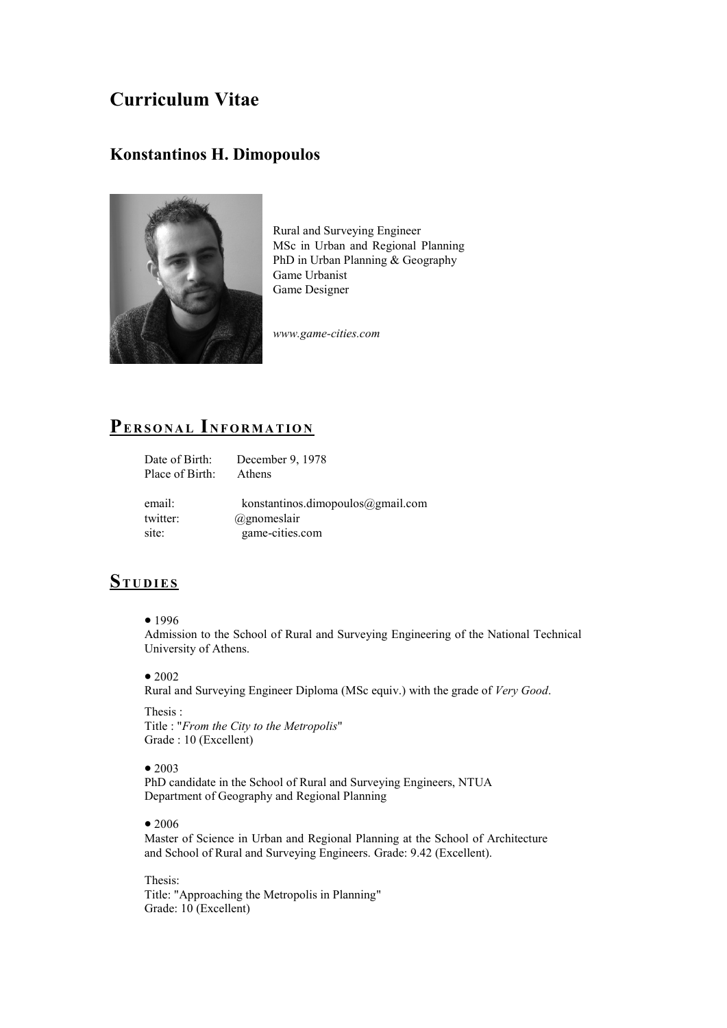# **Curriculum Vitae**

### **Konstantinos H. Dimopoulos**



Rural and Surveying Engineer MSc in Urban and Regional Planning PhD in Urban Planning & Geography Game Urbanist Game Designer

*www.game-cities.com*

# **PE R S O N A L I N F O R M A T I O N**

| Date of Birth:  | December 9, 1978                  |
|-----------------|-----------------------------------|
| Place of Birth: | Athens                            |
|                 |                                   |
| email:          | konstantinos.dimopoulos@gmail.com |
| twitter:        | $(a)$ gnomeslair                  |
| site:           | game-cities.com                   |

### **ST U D I E S**

• 1996

Admission to the School of Rural and Surveying Engineering of the National Technical University of Athens.

 $• 2002$ 

Rural and Surveying Engineer Diploma (MSc equiv.) with the grade of *Very Good*.

Thesis : Title : "*From the City to the Metropolis*" Grade : 10 (Excellent)

 $• 2003$ 

PhD candidate in the School of Rural and Surveying Engineers, NTUA Department of Geography and Regional Planning

• 2006

Master of Science in Urban and Regional Planning at the School of Architecture and School of Rural and Surveying Engineers. Grade: 9.42 (Excellent).

Thesis: Title: "Approaching the Metropolis in Planning" Grade: 10 (Excellent)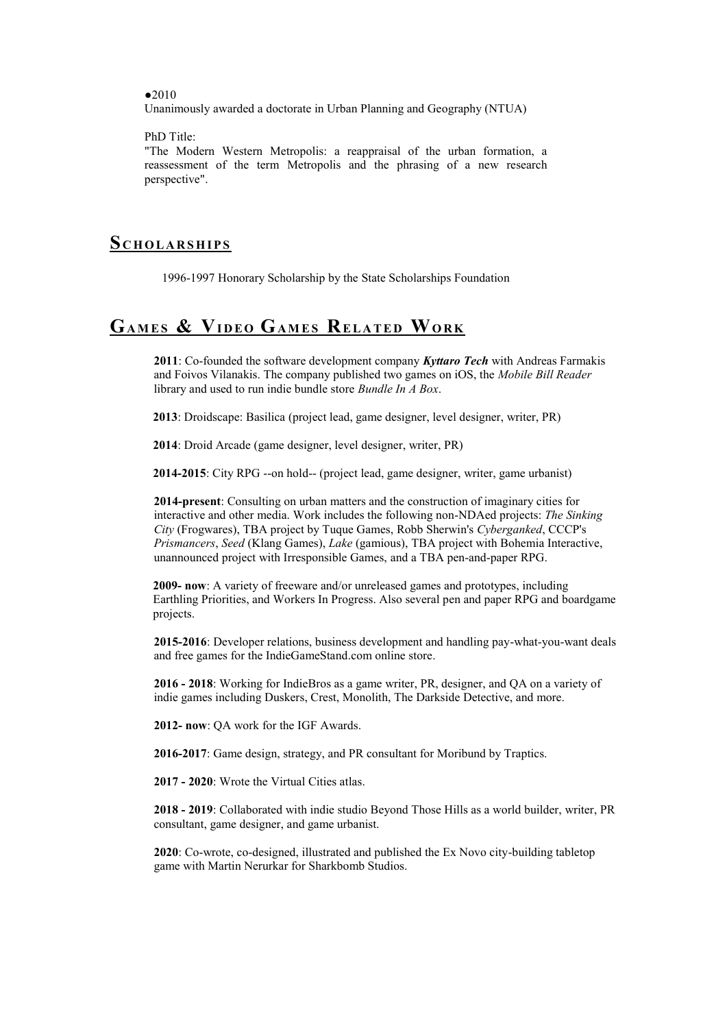●2010

Unanimously awarded a doctorate in Urban Planning and Geography (NTUA)

PhD Title:

"The Modern Western Metropolis: a reappraisal of the urban formation, a reassessment of the term Metropolis and the phrasing of a new research perspective".

#### **S C H O L A R S H I P S**

1996-1997 Honorary Scholarship by the State Scholarships Foundation

## **GA M E S & VI D E O GA M E S RE L A T E D WO R K**

**2011**: Co-founded the software development company *Kyttaro Tech* with Andreas Farmakis and Foivos Vilanakis. The company published two games on iOS, the *Mobile Bill Reader* library and used to run indie bundle store *Bundle In A Box*.

**2013**: Droidscape: Basilica (project lead, game designer, level designer, writer, PR)

**2014**: Droid Arcade (game designer, level designer, writer, PR)

**2014-2015**: City RPG --on hold-- (project lead, game designer, writer, game urbanist)

**2014-present**: Consulting on urban matters and the construction of imaginary cities for interactive and other media. Work includes the following non-NDAed projects: *The Sinking City* (Frogwares), TBA project by Tuque Games, Robb Sherwin's *Cyberganked*, CCCP's *Prismancers*, *Seed* (Klang Games), *Lake* (gamious), TBA project with Bohemia Interactive, unannounced project with Irresponsible Games, and a TBA pen-and-paper RPG.

**2009- now**: A variety of freeware and/or unreleased games and prototypes, including Earthling Priorities, and Workers In Progress. Also several pen and paper RPG and boardgame projects.

**2015-2016**: Developer relations, business development and handling pay-what-you-want deals and free games for the IndieGameStand.com online store.

**2016 - 2018**: Working for IndieBros as a game writer, PR, designer, and QA on a variety of indie games including Duskers, Crest, Monolith, The Darkside Detective, and more.

**2012- now**: QA work for the IGF Awards.

**2016-2017**: Game design, strategy, and PR consultant for Moribund by Traptics.

**2017 - 2020**: Wrote the Virtual Cities atlas.

**2018 - 2019**: Collaborated with indie studio Beyond Those Hills as a world builder, writer, PR consultant, game designer, and game urbanist.

**2020**: Co-wrote, co-designed, illustrated and published the Ex Novo city-building tabletop game with Martin Nerurkar for Sharkbomb Studios.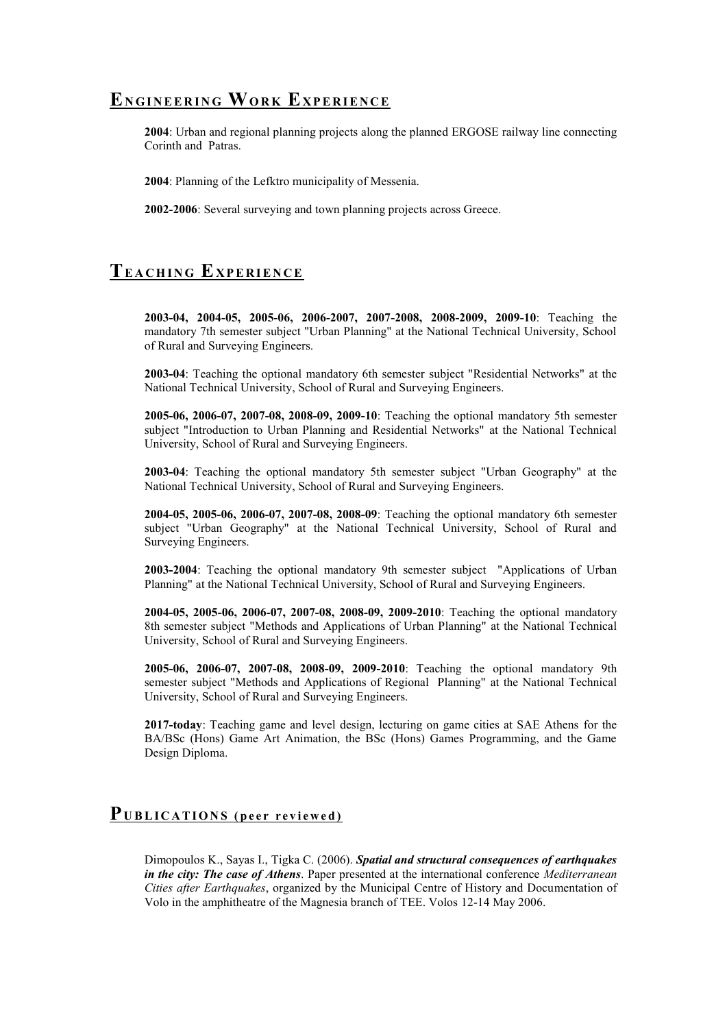### **E N G I N E E R I N G WO R K E X P E R I E N C E**

**2004**: Urban and regional planning projects along the planned ERGOSE railway line connecting Corinth and Patras.

**2004**: Planning of the Lefktro municipality of Messenia.

**2002-2006**: Several surveying and town planning projects across Greece.

# **TE A C H I N G E X P E R I E N C E**

**2003-04, 2004-05, 2005-06, 2006-2007, 2007-2008, 2008-2009, 2009-10**: Teaching the mandatory 7th semester subject "Urban Planning" at the National Technical University, School of Rural and Surveying Engineers.

**2003-04**: Teaching the optional mandatory 6th semester subject "Residential Networks" at the National Technical University, School of Rural and Surveying Engineers.

**2005-06, 2006-07, 2007-08, 2008-09, 2009-10**: Teaching the optional mandatory 5th semester subject "Introduction to Urban Planning and Residential Networks" at the National Technical University, School of Rural and Surveying Engineers.

**2003-04**: Teaching the optional mandatory 5th semester subject "Urban Geography" at the National Technical University, School of Rural and Surveying Engineers.

**2004-05, 2005-06, 2006-07, 2007-08, 2008-09**: Teaching the optional mandatory 6th semester subject "Urban Geography" at the National Technical University, School of Rural and Surveying Engineers.

**2003-2004**: Teaching the optional mandatory 9th semester subject "Applications of Urban Planning" at the National Technical University, School of Rural and Surveying Engineers.

**2004-05, 2005-06, 2006-07, 2007-08, 2008-09, 2009-2010**: Teaching the optional mandatory 8th semester subject "Methods and Applications of Urban Planning" at the National Technical University, School of Rural and Surveying Engineers.

**2005-06, 2006-07, 2007-08, 2008-09, 2009-2010**: Teaching the optional mandatory 9th semester subject "Methods and Applications of Regional Planning" at the National Technical University, School of Rural and Surveying Engineers.

**2017-today**: Teaching game and level design, lecturing on game cities at SAE Athens for the BA/BSc (Hons) Game Art Animation, the BSc (Hons) Games Programming, and the Game Design Diploma.

#### **P U B L I C A T I O N S ( p e e r r e v i e w e d )**

Dimopoulos K., Sayas I., Tigka C. (2006). *Spatial and structural consequences of earthquakes in the city: The case of Athens*. Paper presented at the international conference *Mediterranean Cities after Earthquakes*, organized by the Municipal Centre of History and Documentation of Volo in the amphitheatre of the Magnesia branch of TEE. Volos 12-14 May 2006.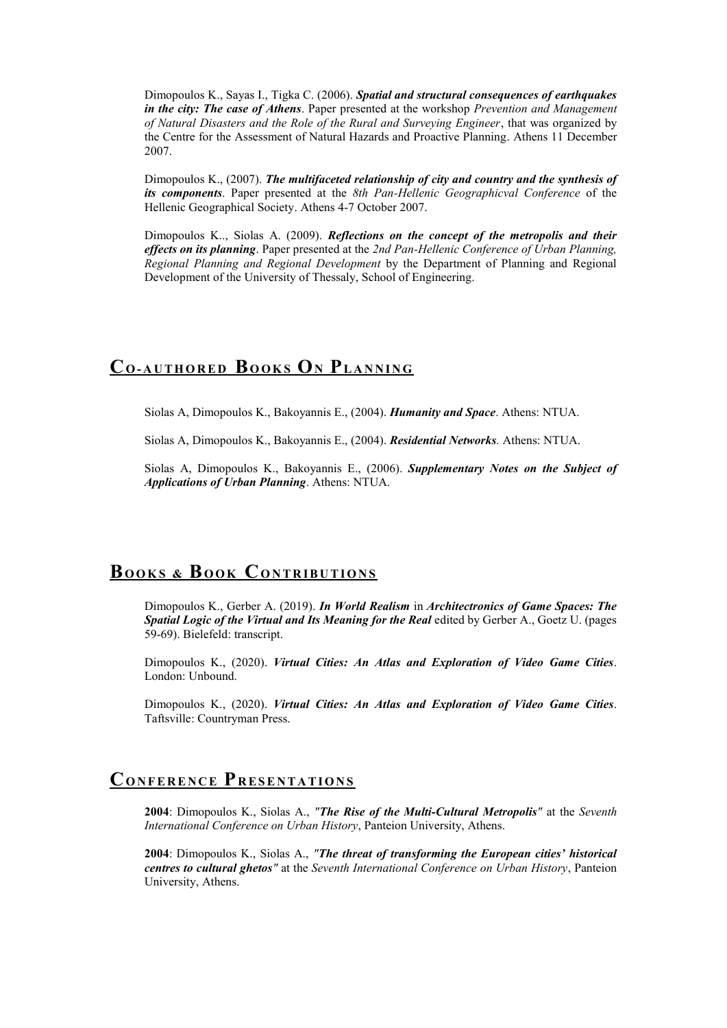Dimopoulos K., Sayas I., Tigka C. (2006). *Spatial and structural consequences of earthquakes in the city: The case of Athens*. Paper presented at the workshop *Prevention and Management of Natural Disasters and the Role of the Rural and Surveying Engineer*, that was organized by the Centre for the Assessment of Natural Hazards and Proactive Planning. Athens 11 December 2007.

Dimopoulos K., (2007). *The multifaceted relationship of city and country and the synthesis of its components*. Paper presented at the *8th Pan-Hellenic Geographicval Conference* of the Hellenic Geographical Society. Athens 4-7 October 2007.

Dimopoulos K.., Siolas Α. (2009). *Reflections on the concept of the metropolis and their effects on its planning*. Paper presented at the *2nd Pan-Hellenic Conference of Urban Planning, Regional Planning and Regional Development* by the Department of Planning and Regional Development of the University of Thessaly, School of Engineering.

# **C O- A U T H O R E D BO O K S O<sup>N</sup> PL A N N I N G**

Siolas A, Dimopoulos K., Bakoyannis E., (2004). *Humanity and Space*. Athens: NTUA.

Siolas A, Dimopoulos K., Bakoyannis E., (2004). *Residential Networks.* Athens: NTUA.

Siolas A, Dimopoulos K., Bakoyannis E., (2006). *Supplementary Notes on the Subject of Applications of Urban Planning*. Athens: NTUA.

### **B O O K S & B OOK C O N T R I B U T I O N S**

Dimopoulos K., Gerber A. (2019). *In World Realism* in *Architectronics of Game Spaces: The Spatial Logic of the Virtual and Its Meaning for the Real* edited by Gerber A., Goetz U. (pages 59-69). Bielefeld: transcript.

Dimopoulos K., (2020). *Virtual Cities: An Atlas and Exploration of Video Game Cities*. London: Unbound.

Dimopoulos K., (2020). *Virtual Cities: An Atlas and Exploration of Video Game Cities*. Taftsville: Countryman Press.

## **C O N F E R E N C E P R E S E N T A T I O N S**

**2004**: Dimopoulos K., Siolas A., *"The Rise of the Multi-Cultural Metropolis"* at the *Seventh International Conference on Urban History*, Panteion University, Athens.

**2004**: Dimopoulos K., Siolas A., *"The threat of transforming the European cities' historical centres to cultural ghetos"* at the *Seventh International Conference on Urban History*, Panteion University, Athens.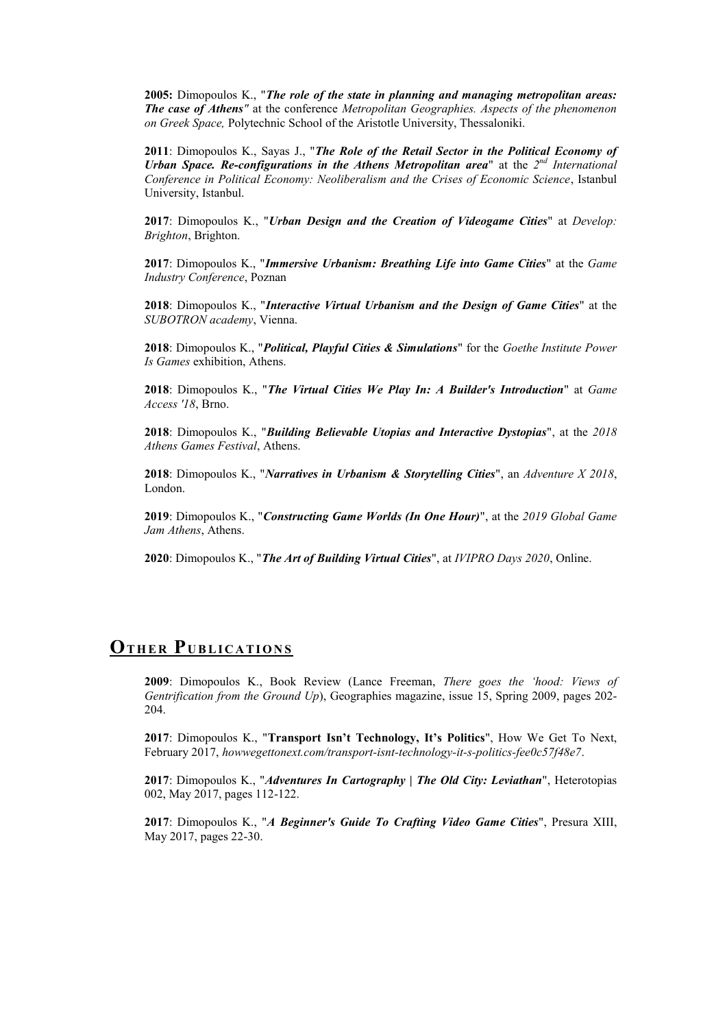**2005:** Dimopoulos K., "*The role of the state in planning and managing metropolitan areas: The case of Athens"* at the conference *Metropolitan Geographies. Aspects of the phenomenon on Greek Space,* Polytechnic School of the Aristotle University, Thessaloniki.

**2011**: Dimopoulos K., Sayas J., "*The Role of the Retail Sector in the Political Economy of*  Urban Space. Re-configurations in the Athens Metropolitan area" at the 2<sup>nd</sup> International *Conference in Political Economy: Neoliberalism and the Crises of Economic Science*, Istanbul University, Istanbul.

**2017**: Dimopoulos K., "*Urban Design and the Creation of Videogame Cities*" at *Develop: Brighton*, Brighton.

**2017**: Dimopoulos K., "*Immersive Urbanism: Breathing Life into Game Cities*" at the *Game Industry Conference*, Poznan

**2018**: Dimopoulos K., "*Interactive Virtual Urbanism and the Design of Game Cities*" at the *SUBOTRON academy*, Vienna.

**2018**: Dimopoulos K., "*Political, Playful Cities & Simulations*" for the *Goethe Institute Power Is Games* exhibition, Athens.

**2018**: Dimopoulos K., "*The Virtual Cities We Play In: A Builder's Introduction*" at *Game Access '18*, Brno.

**2018**: Dimopoulos K., "*Building Believable Utopias and Interactive Dystopias*", at the *2018 Athens Games Festival*, Athens.

**2018**: Dimopoulos K., "*Narratives in Urbanism & Storytelling Cities*", an *Adventure X 2018*, London.

**2019**: Dimopoulos K., "*Constructing Game Worlds (In One Hour)*", at the *2019 Global Game Jam Athens*, Athens.

**2020**: Dimopoulos K., "*The Art of Building Virtual Cities*", at *IVIPRO Days 2020*, Online.

### **OTHER PUBLICATIONS**

**2009**: Dimopoulos K., Book Review (Lance Freeman, *There goes the 'hood: Views of Gentrification from the Ground Up*), Geographies magazine, issue 15, Spring 2009, pages 202- 204.

**2017**: Dimopoulos K., "**Transport Isn't Technology, It's Politics**", How We Get To Next, February 2017, *howwegettonext.com/transport-isnt-technology-it-s-politics-fee0c57f48e7*.

**2017**: Dimopoulos K., "*Adventures In Cartography | The Old City: Leviathan*", Heterotopias 002, May 2017, pages 112-122.

**2017**: Dimopoulos K., "*A Beginner's Guide To Crafting Video Game Cities*", Presura XIII, May 2017, pages 22-30.